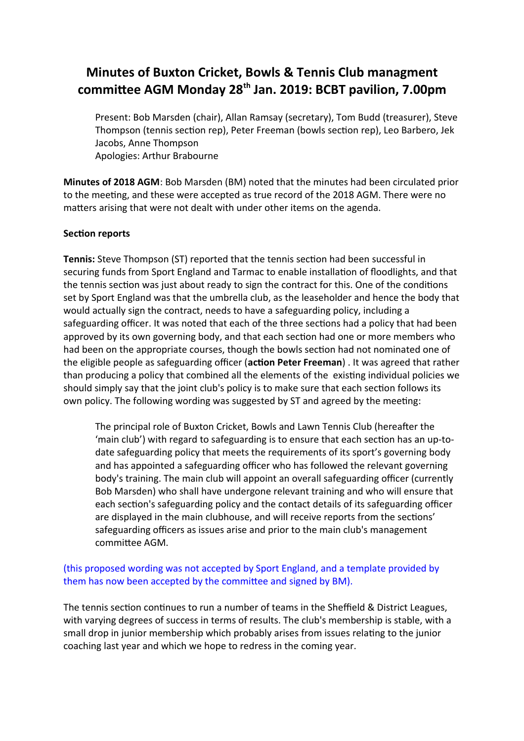# **Minutes of Buxton Cricket, Bowls & Tennis Club managment commitee AGM Monday 28th Jan. 2019: BCBT pavilion, 7.00pm**

Present: Bob Marsden (chair), Allan Ramsay (secretary), Tom Budd (treasurer), Steve Thompson (tennis secton rep), Peter Freeman (bowls secton rep), Leo Barbero, Jek Jacobs, Anne Thompson Apologies: Arthur Brabourne

**Minutes of 2018 AGM**: Bob Marsden (BM) noted that the minutes had been circulated prior to the meeting, and these were accepted as true record of the 2018 AGM. There were no matters arising that were not dealt with under other items on the agenda.

## **Section reports**

**Tennis:** Steve Thompson (ST) reported that the tennis secton had been successful in securing funds from Sport England and Tarmac to enable installaton of foodlights, and that the tennis section was just about ready to sign the contract for this. One of the conditions set by Sport England was that the umbrella club, as the leaseholder and hence the body that would actually sign the contract, needs to have a safeguarding policy, including a safeguarding officer. It was noted that each of the three sections had a policy that had been approved by its own governing body, and that each secton had one or more members who had been on the appropriate courses, though the bowls secton had not nominated one of the eligible people as safeguarding officer (**action Peter Freeman**). It was agreed that rather than producing a policy that combined all the elements of the existng individual policies we should simply say that the joint club's policy is to make sure that each secton follows its own policy. The following wording was suggested by ST and agreed by the meeting:

The principal role of Buxton Cricket, Bowls and Lawn Tennis Club (hereafer the 'main club') with regard to safeguarding is to ensure that each secton has an up-todate safeguarding policy that meets the requirements of its sport's governing body and has appointed a safeguarding officer who has followed the relevant governing body's training. The main club will appoint an overall safeguarding officer (currently Bob Marsden) who shall have undergone relevant training and who will ensure that each section's safeguarding policy and the contact details of its safeguarding officer are displayed in the main clubhouse, and will receive reports from the sectons' safeguarding officers as issues arise and prior to the main club's management commitee AGM.

## (this proposed wording was not accepted by Sport England, and a template provided by them has now been accepted by the commitee and signed by BM).

The tennis section continues to run a number of teams in the Sheffield & District Leagues, with varying degrees of success in terms of results. The club's membership is stable, with a small drop in junior membership which probably arises from issues relating to the junior coaching last year and which we hope to redress in the coming year.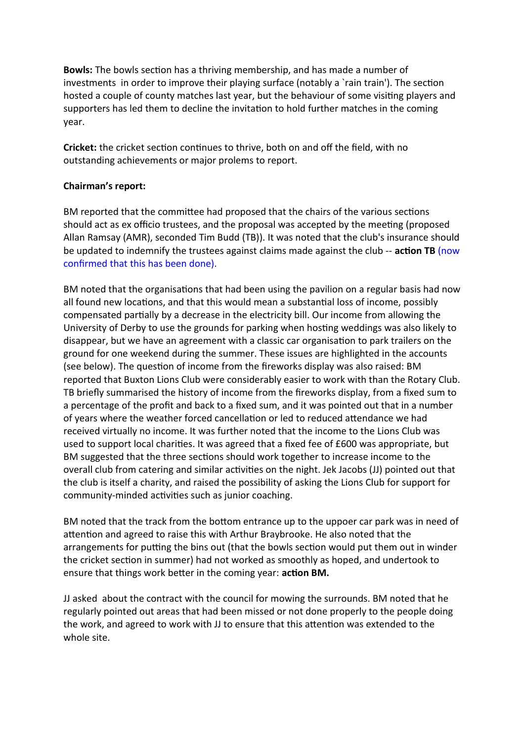**Bowls:** The bowls section has a thriving membership, and has made a number of investments in order to improve their playing surface (notably a 'rain train'). The section hosted a couple of county matches last year, but the behaviour of some visitng players and supporters has led them to decline the invitation to hold further matches in the coming year.

**Cricket:** the cricket section continues to thrive, both on and off the field, with no outstanding achievements or major prolems to report.

## **Chairman's report:**

BM reported that the commitee had proposed that the chairs of the various sectons should act as ex officio trustees, and the proposal was accepted by the meeting (proposed Allan Ramsay (AMR), seconded Tim Budd (TB)). It was noted that the club's insurance should be updated to indemnify the trustees against claims made against the club -- **acton TB** (now confrmed that this has been done).

BM noted that the organisations that had been using the pavilion on a regular basis had now all found new locations, and that this would mean a substantial loss of income, possibly compensated partally by a decrease in the electricity bill. Our income from allowing the University of Derby to use the grounds for parking when hosting weddings was also likely to disappear, but we have an agreement with a classic car organisation to park trailers on the ground for one weekend during the summer. These issues are highlighted in the accounts (see below). The queston of income from the freworks display was also raised: BM reported that Buxton Lions Club were considerably easier to work with than the Rotary Club. TB briefy summarised the history of income from the freworks display, from a fxed sum to a percentage of the profit and back to a fixed sum, and it was pointed out that in a number of years where the weather forced cancellation or led to reduced attendance we had received virtually no income. It was further noted that the income to the Lions Club was used to support local charites. It was agreed that a fxed fee of £600 was appropriate, but BM suggested that the three sections should work together to increase income to the overall club from catering and similar actvites on the night. Jek Jacobs (JJ) pointed out that the club is itself a charity, and raised the possibility of asking the Lions Club for support for community-minded activities such as junior coaching.

BM noted that the track from the bottom entrance up to the uppoer car park was in need of atenton and agreed to raise this with Arthur Braybrooke. He also noted that the arrangements for putting the bins out (that the bowls section would put them out in winder the cricket secton in summer) had not worked as smoothly as hoped, and undertook to ensure that things work beter in the coming year: **acton BM.**

JJ asked about the contract with the council for mowing the surrounds. BM noted that he regularly pointed out areas that had been missed or not done properly to the people doing the work, and agreed to work with JJ to ensure that this atenton was extended to the whole site.